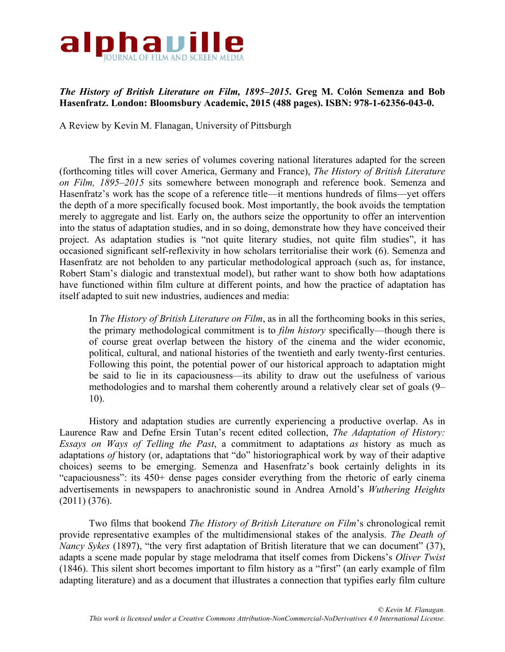

## *The History of British Literature on Film, 1895–2015***. Greg M. Colón Semenza and Bob Hasenfratz. London: Bloomsbury Academic, 2015 (488 pages). ISBN: 978-1-62356-043-0.**

A Review by Kevin M. Flanagan, University of Pittsburgh

The first in a new series of volumes covering national literatures adapted for the screen (forthcoming titles will cover America, Germany and France), *The History of British Literature on Film, 1895–2015* sits somewhere between monograph and reference book. Semenza and Hasenfratz's work has the scope of a reference title—it mentions hundreds of films—yet offers the depth of a more specifically focused book. Most importantly, the book avoids the temptation merely to aggregate and list. Early on, the authors seize the opportunity to offer an intervention into the status of adaptation studies, and in so doing, demonstrate how they have conceived their project. As adaptation studies is "not quite literary studies, not quite film studies", it has occasioned significant self-reflexivity in how scholars territorialise their work (6). Semenza and Hasenfratz are not beholden to any particular methodological approach (such as, for instance, Robert Stam's dialogic and transtextual model), but rather want to show both how adaptations have functioned within film culture at different points, and how the practice of adaptation has itself adapted to suit new industries, audiences and media:

In *The History of British Literature on Film*, as in all the forthcoming books in this series, the primary methodological commitment is to *film history* specifically—though there is of course great overlap between the history of the cinema and the wider economic, political, cultural, and national histories of the twentieth and early twenty-first centuries. Following this point, the potential power of our historical approach to adaptation might be said to lie in its capaciousness—its ability to draw out the usefulness of various methodologies and to marshal them coherently around a relatively clear set of goals (9– 10).

History and adaptation studies are currently experiencing a productive overlap. As in Laurence Raw and Defne Ersin Tutan's recent edited collection, *The Adaptation of History: Essays on Ways of Telling the Past*, a commitment to adaptations *as* history as much as adaptations *of* history (or, adaptations that "do" historiographical work by way of their adaptive choices) seems to be emerging. Semenza and Hasenfratz's book certainly delights in its "capaciousness": its 450+ dense pages consider everything from the rhetoric of early cinema advertisements in newspapers to anachronistic sound in Andrea Arnold's *Wuthering Heights* (2011) (376).

Two films that bookend *The History of British Literature on Film*'s chronological remit provide representative examples of the multidimensional stakes of the analysis. *The Death of Nancy Sykes* (1897), "the very first adaptation of British literature that we can document" (37), adapts a scene made popular by stage melodrama that itself comes from Dickens's *Oliver Twist*  (1846). This silent short becomes important to film history as a "first" (an early example of film adapting literature) and as a document that illustrates a connection that typifies early film culture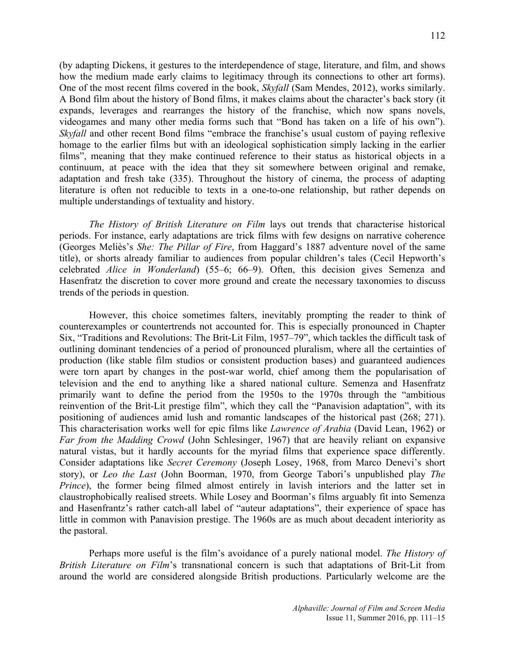(by adapting Dickens, it gestures to the interdependence of stage, literature, and film, and shows how the medium made early claims to legitimacy through its connections to other art forms). One of the most recent films covered in the book, *Skyfall* (Sam Mendes, 2012), works similarly. A Bond film about the history of Bond films, it makes claims about the character's back story (it expands, leverages and rearranges the history of the franchise, which now spans novels, videogames and many other media forms such that "Bond has taken on a life of his own"). *Skyfall* and other recent Bond films "embrace the franchise's usual custom of paying reflexive homage to the earlier films but with an ideological sophistication simply lacking in the earlier films", meaning that they make continued reference to their status as historical objects in a continuum, at peace with the idea that they sit somewhere between original and remake, adaptation and fresh take (335). Throughout the history of cinema, the process of adapting literature is often not reducible to texts in a one-to-one relationship, but rather depends on multiple understandings of textuality and history.

*The History of British Literature on Film* lays out trends that characterise historical periods. For instance, early adaptations are trick films with few designs on narrative coherence (Georges Meliès's *She: The Pillar of Fire*, from Haggard's 1887 adventure novel of the same title), or shorts already familiar to audiences from popular children's tales (Cecil Hepworth's celebrated *Alice in Wonderland*) (55–6; 66–9). Often, this decision gives Semenza and Hasenfratz the discretion to cover more ground and create the necessary taxonomies to discuss trends of the periods in question.

However, this choice sometimes falters, inevitably prompting the reader to think of counterexamples or countertrends not accounted for. This is especially pronounced in Chapter Six, "Traditions and Revolutions: The Brit-Lit Film, 1957–79", which tackles the difficult task of outlining dominant tendencies of a period of pronounced pluralism, where all the certainties of production (like stable film studios or consistent production bases) and guaranteed audiences were torn apart by changes in the post-war world, chief among them the popularisation of television and the end to anything like a shared national culture. Semenza and Hasenfratz primarily want to define the period from the 1950s to the 1970s through the "ambitious reinvention of the Brit-Lit prestige film", which they call the "Panavision adaptation", with its positioning of audiences amid lush and romantic landscapes of the historical past (268; 271). This characterisation works well for epic films like *Lawrence of Arabia* (David Lean, 1962) or *Far from the Madding Crowd* (John Schlesinger, 1967) that are heavily reliant on expansive natural vistas, but it hardly accounts for the myriad films that experience space differently. Consider adaptations like *Secret Ceremony* (Joseph Losey, 1968, from Marco Denevi's short story), or *Leo the Last* (John Boorman, 1970, from George Tabori's unpublished play *The Prince*), the former being filmed almost entirely in lavish interiors and the latter set in claustrophobically realised streets. While Losey and Boorman's films arguably fit into Semenza and Hasenfrantz's rather catch-all label of "auteur adaptations", their experience of space has little in common with Panavision prestige. The 1960s are as much about decadent interiority as the pastoral.

Perhaps more useful is the film's avoidance of a purely national model. *The History of British Literature on Film*'s transnational concern is such that adaptations of Brit-Lit from around the world are considered alongside British productions. Particularly welcome are the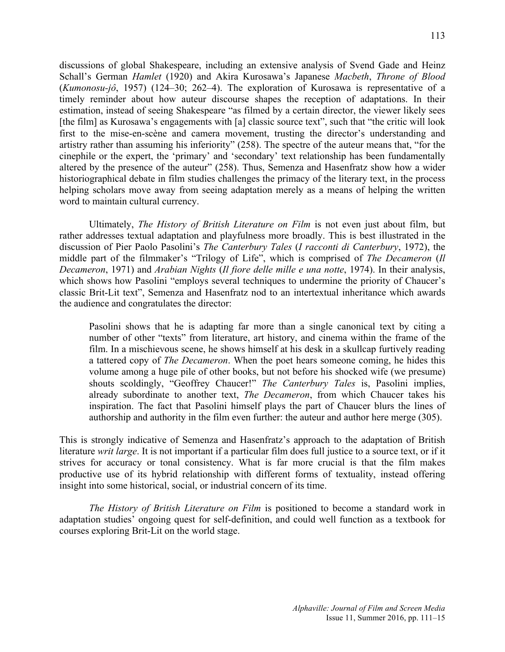discussions of global Shakespeare, including an extensive analysis of Svend Gade and Heinz Schall's German *Hamlet* (1920) and Akira Kurosawa's Japanese *Macbeth*, *Throne of Blood*  (*Kumonosu-jô*, 1957) (124–30; 262–4). The exploration of Kurosawa is representative of a timely reminder about how auteur discourse shapes the reception of adaptations. In their estimation, instead of seeing Shakespeare "as filmed by a certain director, the viewer likely sees [the film] as Kurosawa's engagements with [a] classic source text", such that "the critic will look first to the mise-en-scène and camera movement, trusting the director's understanding and artistry rather than assuming his inferiority" (258). The spectre of the auteur means that, "for the cinephile or the expert, the 'primary' and 'secondary' text relationship has been fundamentally altered by the presence of the auteur" (258). Thus, Semenza and Hasenfratz show how a wider historiographical debate in film studies challenges the primacy of the literary text, in the process helping scholars move away from seeing adaptation merely as a means of helping the written word to maintain cultural currency.

Ultimately, *The History of British Literature on Film* is not even just about film, but rather addresses textual adaptation and playfulness more broadly. This is best illustrated in the discussion of Pier Paolo Pasolini's *The Canterbury Tales* (*I racconti di Canterbury*, 1972), the middle part of the filmmaker's "Trilogy of Life", which is comprised of *The Decameron* (*Il Decameron*, 1971) and *Arabian Nights* (*Il fiore delle mille e una notte*, 1974). In their analysis, which shows how Pasolini "employs several techniques to undermine the priority of Chaucer's classic Brit-Lit text", Semenza and Hasenfratz nod to an intertextual inheritance which awards the audience and congratulates the director:

Pasolini shows that he is adapting far more than a single canonical text by citing a number of other "texts" from literature, art history, and cinema within the frame of the film. In a mischievous scene, he shows himself at his desk in a skullcap furtively reading a tattered copy of *The Decameron*. When the poet hears someone coming, he hides this volume among a huge pile of other books, but not before his shocked wife (we presume) shouts scoldingly, "Geoffrey Chaucer!" *The Canterbury Tales* is, Pasolini implies, already subordinate to another text, *The Decameron*, from which Chaucer takes his inspiration. The fact that Pasolini himself plays the part of Chaucer blurs the lines of authorship and authority in the film even further: the auteur and author here merge (305).

This is strongly indicative of Semenza and Hasenfratz's approach to the adaptation of British literature *writ large*. It is not important if a particular film does full justice to a source text, or if it strives for accuracy or tonal consistency. What is far more crucial is that the film makes productive use of its hybrid relationship with different forms of textuality, instead offering insight into some historical, social, or industrial concern of its time.

*The History of British Literature on Film* is positioned to become a standard work in adaptation studies' ongoing quest for self-definition, and could well function as a textbook for courses exploring Brit-Lit on the world stage.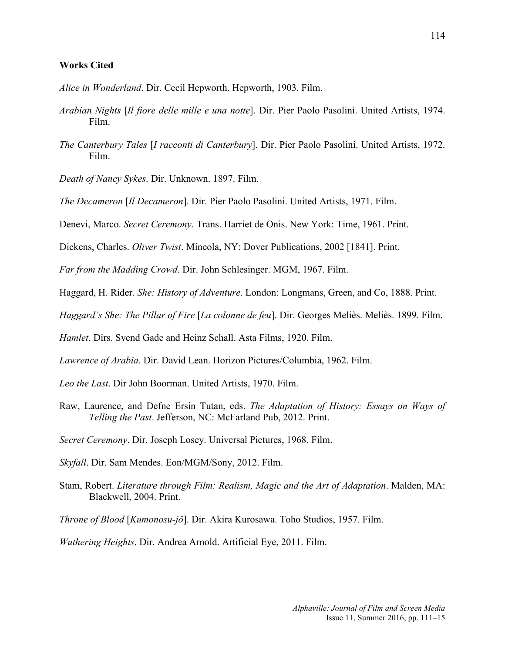## **Works Cited**

*Alice in Wonderland*. Dir. Cecil Hepworth. Hepworth, 1903. Film.

- *Arabian Nights* [*Il fiore delle mille e una notte*]. Dir. Pier Paolo Pasolini. United Artists, 1974. Film.
- *The Canterbury Tales* [*I racconti di Canterbury*]. Dir. Pier Paolo Pasolini. United Artists, 1972. Film.

*Death of Nancy Sykes*. Dir. Unknown. 1897. Film.

*The Decameron* [*Il Decameron*]. Dir. Pier Paolo Pasolini. United Artists, 1971. Film.

Denevi, Marco. *Secret Ceremony*. Trans. Harriet de Onis. New York: Time, 1961. Print.

Dickens, Charles. *Oliver Twist*. Mineola, NY: Dover Publications, 2002 [1841]. Print.

*Far from the Madding Crowd*. Dir. John Schlesinger. MGM, 1967. Film.

Haggard, H. Rider. *She: History of Adventure*. London: Longmans, Green, and Co, 1888. Print.

*Haggard's She: The Pillar of Fire* [*La colonne de feu*]. Dir. Georges Meliès. Meliès. 1899. Film.

*Hamlet*. Dirs. Svend Gade and Heinz Schall. Asta Films, 1920. Film.

*Lawrence of Arabia*. Dir. David Lean. Horizon Pictures/Columbia, 1962. Film.

*Leo the Last*. Dir John Boorman. United Artists, 1970. Film.

Raw, Laurence, and Defne Ersin Tutan, eds. *The Adaptation of History: Essays on Ways of Telling the Past*. Jefferson, NC: McFarland Pub, 2012. Print.

*Secret Ceremony*. Dir. Joseph Losey. Universal Pictures, 1968. Film.

*Skyfall*. Dir. Sam Mendes. Eon/MGM/Sony, 2012. Film.

Stam, Robert. *Literature through Film: Realism, Magic and the Art of Adaptation*. Malden, MA: Blackwell, 2004. Print.

*Throne of Blood* [*Kumonosu-jô*]. Dir. Akira Kurosawa. Toho Studios, 1957. Film.

*Wuthering Heights*. Dir. Andrea Arnold. Artificial Eye, 2011. Film.